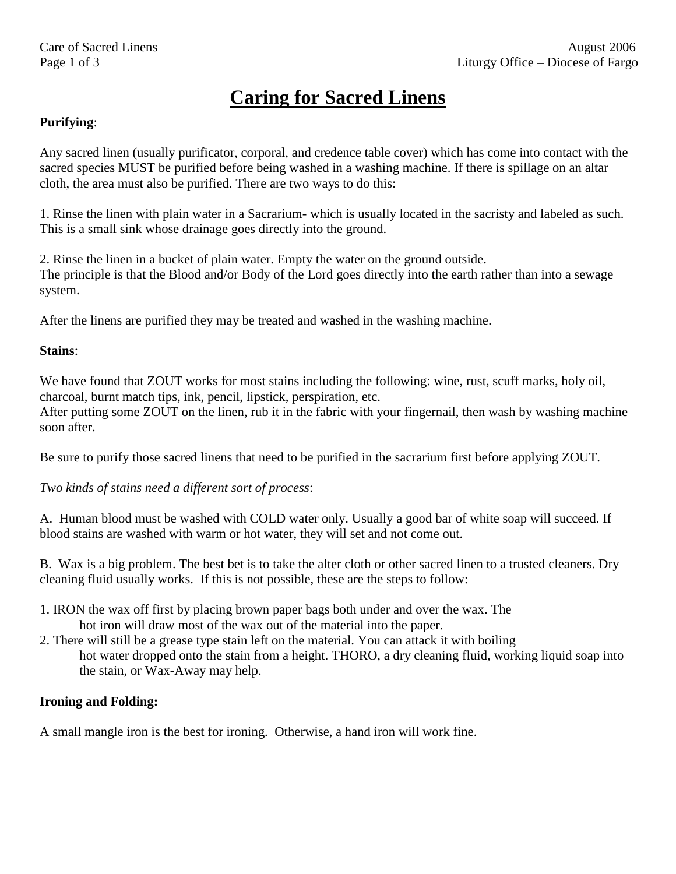# **Caring for Sacred Linens**

### **Purifying**:

Any sacred linen (usually purificator, corporal, and credence table cover) which has come into contact with the sacred species MUST be purified before being washed in a washing machine. If there is spillage on an altar cloth, the area must also be purified. There are two ways to do this:

1. Rinse the linen with plain water in a Sacrarium- which is usually located in the sacristy and labeled as such. This is a small sink whose drainage goes directly into the ground.

2. Rinse the linen in a bucket of plain water. Empty the water on the ground outside. The principle is that the Blood and/or Body of the Lord goes directly into the earth rather than into a sewage system.

After the linens are purified they may be treated and washed in the washing machine.

#### **Stains**:

We have found that ZOUT works for most stains including the following: wine, rust, scuff marks, holy oil, charcoal, burnt match tips, ink, pencil, lipstick, perspiration, etc.

After putting some ZOUT on the linen, rub it in the fabric with your fingernail, then wash by washing machine soon after.

Be sure to purify those sacred linens that need to be purified in the sacrarium first before applying ZOUT.

*Two kinds of stains need a different sort of process*:

A. Human blood must be washed with COLD water only. Usually a good bar of white soap will succeed. If blood stains are washed with warm or hot water, they will set and not come out.

B. Wax is a big problem. The best bet is to take the alter cloth or other sacred linen to a trusted cleaners. Dry cleaning fluid usually works. If this is not possible, these are the steps to follow:

- 1. IRON the wax off first by placing brown paper bags both under and over the wax. The hot iron will draw most of the wax out of the material into the paper.
- 2. There will still be a grease type stain left on the material. You can attack it with boiling hot water dropped onto the stain from a height. THORO, a dry cleaning fluid, working liquid soap into the stain, or Wax-Away may help.

#### **Ironing and Folding:**

A small mangle iron is the best for ironing. Otherwise, a hand iron will work fine.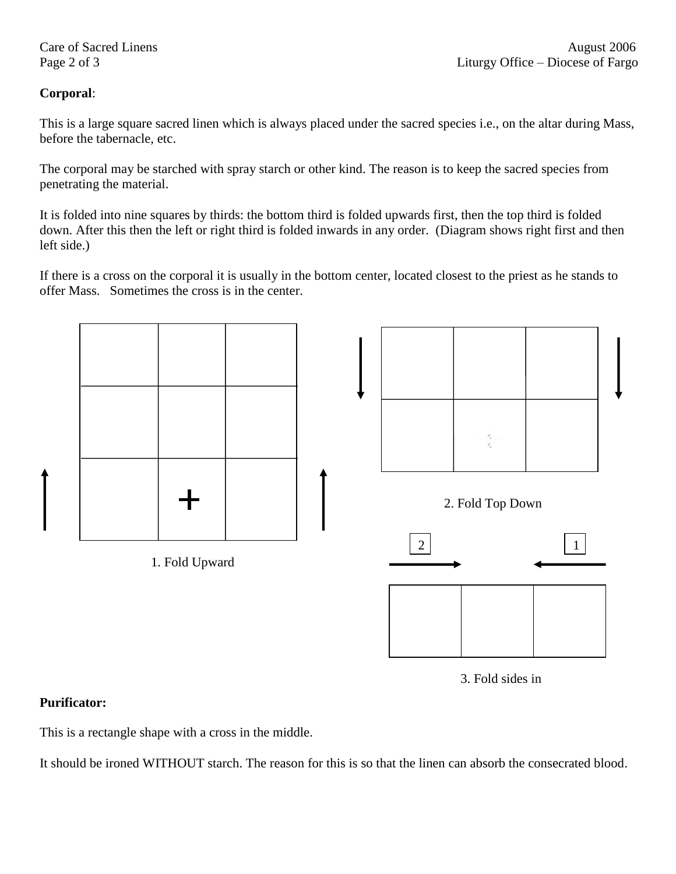## **Corporal**:

This is a large square sacred linen which is always placed under the sacred species i.e., on the altar during Mass, before the tabernacle, etc.

The corporal may be starched with spray starch or other kind. The reason is to keep the sacred species from penetrating the material.

It is folded into nine squares by thirds: the bottom third is folded upwards first, then the top third is folded down. After this then the left or right third is folded inwards in any order. (Diagram shows right first and then left side.)

If there is a cross on the corporal it is usually in the bottom center, located closest to the priest as he stands to offer Mass. Sometimes the cross is in the center.



3. Fold sides in

### **Purificator:**

This is a rectangle shape with a cross in the middle.

It should be ironed WITHOUT starch. The reason for this is so that the linen can absorb the consecrated blood.